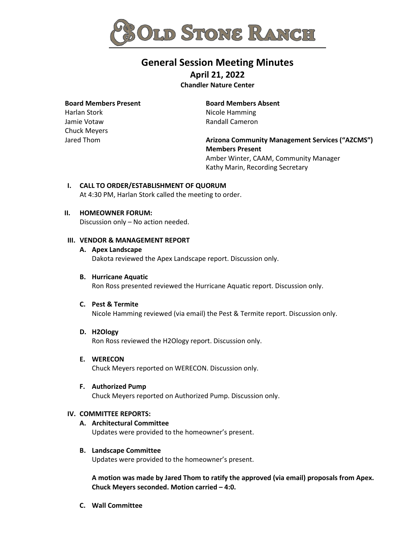

# **General Session Meeting Minutes**

**April 21, 2022**

**Chandler Nature Center**

## **Board Members Present**

Harlan Stork Jamie Votaw Chuck Meyers Jared Thom

## **Board Members Absent** Nicole Hamming Randall Cameron

**Arizona Community Management Services ("AZCMS") Members Present** Amber Winter, CAAM, Community Manager Kathy Marin, Recording Secretary

## **I. CALL TO ORDER/ESTABLISHMENT OF QUORUM**

At 4:30 PM, Harlan Stork called the meeting to order.

## **II. HOMEOWNER FORUM:**

Discussion only – No action needed.

## **III. VENDOR & MANAGEMENT REPORT**

## **A. Apex Landscape**

Dakota reviewed the Apex Landscape report. Discussion only.

## **B. Hurricane Aquatic**

Ron Ross presented reviewed the Hurricane Aquatic report. Discussion only.

#### **C. Pest & Termite**

Nicole Hamming reviewed (via email) the Pest & Termite report. Discussion only.

#### **D. H2Ology**

Ron Ross reviewed the H2Ology report. Discussion only.

## **E. WERECON**

Chuck Meyers reported on WERECON. Discussion only.

#### **F. Authorized Pump**

Chuck Meyers reported on Authorized Pump. Discussion only.

#### **IV. COMMITTEE REPORTS:**

## **A. Architectural Committee**

Updates were provided to the homeowner's present.

## **B. Landscape Committee**

Updates were provided to the homeowner's present.

**A motion was made by Jared Thom to ratify the approved (via email) proposals from Apex. Chuck Meyers seconded. Motion carried – 4:0.**

**C. Wall Committee**